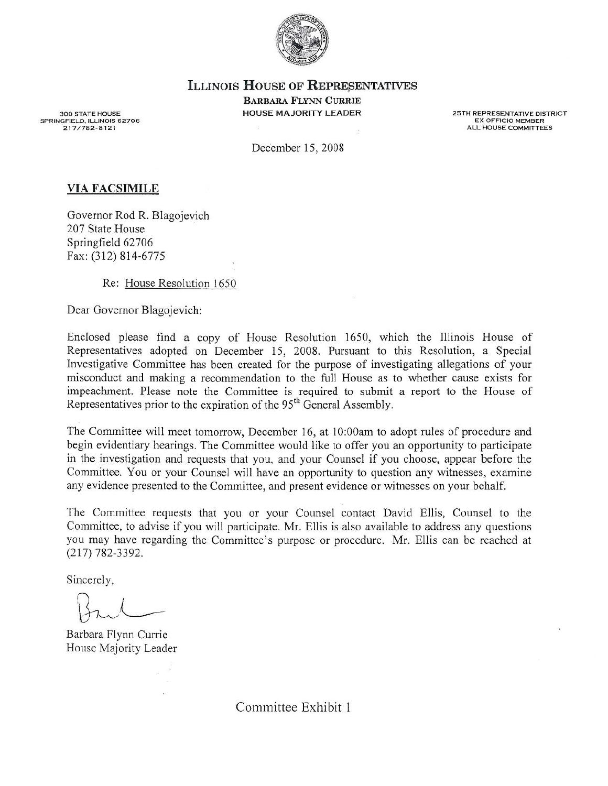

ILLINOIS HOUSE OF KEPRESENTATIVES

Barbara Flynn Currie HOUSE MAJORITY LEADER

**25TH REPRESENTATIVE DISTRICT** EX OFFICIO MEMBER ALL KOUSE COMMITTEES

**300 STATE HOUSE** SPRINGFIELD. ILLINOIS 62706 *21 7 / 7 8 2 ·8121*

December 15, 2008

## VIA FACSIMILE

Governor Rod R. Blagojevich 207 State House Springfield 62706 Fax: (312) 814-6775

Re: House Resolution 1650

Dear Governor Blagojevich:

Enclosed please find <sup>a</sup> copy of House Resolution 1650, which the Illinois House of Representatives adopted on December 15, 2008. Pursuant to this Resolution, <sup>a</sup> Special Investigative Committee has been created for the purpose of investigating allegations of your misconduct and making <sup>a</sup> recommendation to the full House as to whether cause exists for impeachment. Please note the Committee is required to submit <sup>a</sup> repor<sup>t</sup> to the House of Representatives prior to the expiration of the 95<sup>th</sup> General Assembly.

The Committee will meet tomorrow, December 16, at 10:OOam to adopt rules of procedure and begin evidentiary hearings. The Committee would like to offer you an opportunity to participate in the investigation and requests that you, and your Counsel if you choose, appear before the Committee. You or your Counsel will have an opportunity to question any witnesses, examine any evidence presented to the Committee, and presen<sup>t</sup> evidence or witnesses on your behalf.

The Committee requests that you or your Counsel contact David Ellis, Counsel to the Committee, to advise if you will participate. Mr. Ellis is also available to address any questions you may have regarding the Committee's purpose or procedure. Mr. Ellis can be reached at (217) 782-3392.

Sincerely,

Barbara Flynn Currie House Majority Leader

Committee Exhibit I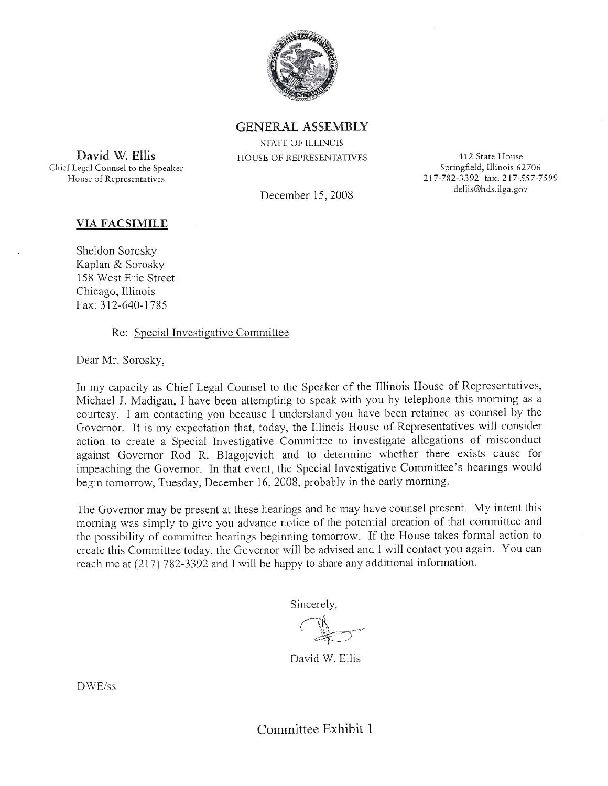

GENERAL ASSEMBLY STATE OF ILUNOl5 HOUSE OF REPRESENTATIVES

December 15, 2008

412 State House Springfield, Illinois 62706 217-782-3392 fax: 217-557-7599 dellis@hds.ilga.gov

## VIA FACSIMILE

David W. Ellis Chief Legal Counsel to the Speaker

House of

Sheldon Sorosky Kaplan & Sorosky 158 West Eric Street Chicago, Illinois Fax: 312-640-1785

Re: Special Investigative Committee

Dear Mr. Sorosky,

In my capacity as Chief Legal Counsel to the Speaker of the Illinois House of Representatives, Michael J. Madigan, I have been attempting to speak with you by telephone this morning as a courtesy. I am contacting you because <sup>I</sup> understand you have been retained as counsel by the Governor. It is my expectation that, today, the Illinois House of Representatives will consider action to create a Special Investigative Committee to investigate allegations of misconduct against Governor Rod R. Blagojevich and to determine whether there exists cause for impeaching the Governor. In that event, the Special Investigative Committee's hearings would begin tomorrow, Tuesday, December 16, 2008, probably in the early morning.

The Governor may be present at these hearings and he may have counsel present. My intent this morn ing was simply to give you advance notice of the potential creation of that committee and the possibility of committee hearings beginning tomorrow. If the House takes formal action to create this Committee today, the Governor will be advised and I will contact you again. You can reach me at (217) 782-3392 and 1 will be happy to share any additional information.

Sincerely,

David W. Ellis

DWE/ss

Committee Exhibit 1